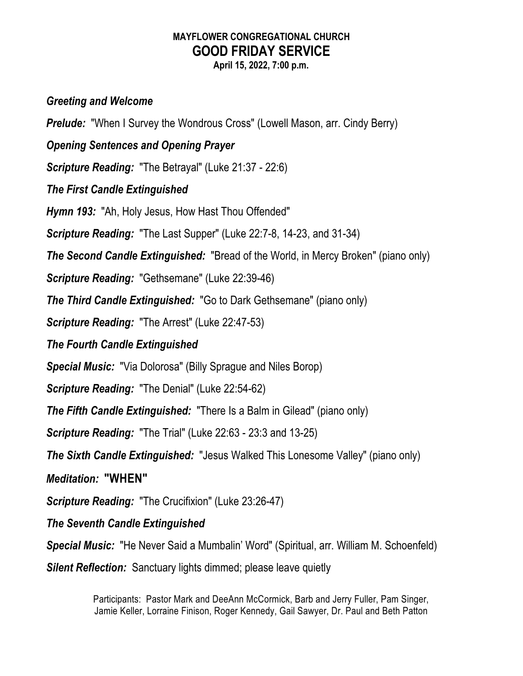## **MAYFLOWER CONGREGATIONAL CHURCH GOOD FRIDAY SERVICE**

**April 15, 2022, 7:00 p.m.**

## *Greeting and Welcome*

**Prelude:** "When I Survey the Wondrous Cross" (Lowell Mason, arr. Cindy Berry)

*Opening Sentences and Opening Prayer*

*Scripture Reading:* "The Betrayal" (Luke 21:37 - 22:6)

*The First Candle Extinguished*

*Hymn 193:* "Ah, Holy Jesus, How Hast Thou Offended"

*Scripture Reading:* "The Last Supper" (Luke 22:7-8, 14-23, and 31-34)

*The Second Candle Extinguished:* "Bread of the World, in Mercy Broken" (piano only)

*Scripture Reading:* "Gethsemane" (Luke 22:39-46)

*The Third Candle Extinguished:* "Go to Dark Gethsemane" (piano only)

*Scripture Reading:* "The Arrest" (Luke 22:47-53)

*The Fourth Candle Extinguished*

*Special Music:* "Via Dolorosa" (Billy Sprague and Niles Borop)

*Scripture Reading:* "The Denial" (Luke 22:54-62)

*The Fifth Candle Extinguished:* "There Is a Balm in Gilead" (piano only)

*Scripture Reading:* "The Trial" (Luke 22:63 - 23:3 and 13-25)

*The Sixth Candle Extinguished:* "Jesus Walked This Lonesome Valley" (piano only)

*Meditation:* **"WHEN"**

*Scripture Reading:* "The Crucifixion" (Luke 23:26-47)

*The Seventh Candle Extinguished*

*Special Music:* "He Never Said a Mumbalin' Word" (Spiritual, arr. William M. Schoenfeld)

*Silent Reflection:* Sanctuary lights dimmed; please leave quietly

Participants: Pastor Mark and DeeAnn McCormick, Barb and Jerry Fuller, Pam Singer, Jamie Keller, Lorraine Finison, Roger Kennedy, Gail Sawyer, Dr. Paul and Beth Patton